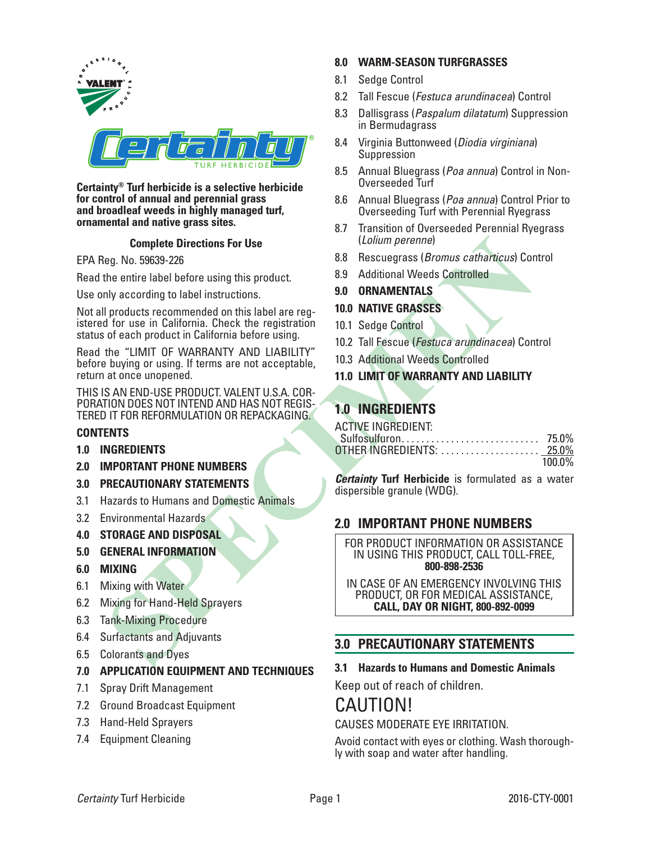

#### **Certainty® Turf herbicide is a selective herbicide for control of annual and perennial grass and broadleaf weeds in highly managed turf, ornamental and native grass sites.**

## **Complete Directions For Use**

EPA Reg. No. 59639-226

Read the entire label before using this product.

Use only according to label instructions.

Not all products recommended on this label are registered for use in California. Check the registration status of each product in California before using.

Read the "LIMIT OF WARRANTY AND LIABILITY" before buying or using. If terms are not acceptable, return at once unopened.

THIS IS AN END-USE PRODUCT. VALENT U.S.A. COR-<br>PORATION DOES NOT INTEND AND HAS NOT REGIS-<br>TERED IT FOR REFORMULATION OR REPACKAGING.

## **CONTENTS**

- **1.0 INGREDIENTS**
- **2.0 IMPORTANT PHONE NUMBERS**
- **3.0 PRECAUTIONARY STATEMENTS**
- 3.1 Hazards to Humans and Domestic Animals
- 3.2 Environmental Hazards
- **4.0 STORAGE AND DISPOSAL**
- **5.0 GENERAL INFORMATION**
- **6.0 MIXING**
- 6.1 Mixing with Water
- 6.2 Mixing for Hand-Held Sprayers
- 6.3 Tank-Mixing Procedure
- 6.4 Surfactants and Adjuvants
- 6.5 Colorants and Dyes
- **7.0 APPLICATION EQUIPMENT AND TECHNIQUES**
- 7.1 Spray Drift Management
- 7.2 Ground Broadcast Equipment
- 7.3 Hand-Held Sprayers
- 7.4 Equipment Cleaning

# **8.0 WARM-SEASON TURFGRASSES**

- 8.1 Sedge Control
- 8.2 Tall Fescue (*Festuca arundinacea*) Control
- 8.3 Dallisgrass (*Paspalum dilatatum*) Suppression in Bermudagrass
- 8.4 Virginia Buttonweed (*Diodia virginiana*) Suppression
- 8.5 Annual Bluegrass (*Poa annua*) Control in Non-Overseeded Turf
- 8.6 Annual Bluegrass (*Poa annua*) Control Prior to Overseeding Turf with Perennial Ryegrass
- 8.7 Transition of Overseeded Perennial Ryegrass (*Lolium perenne*)
- 8.8 Rescuegrass (*Bromus catharticus*) Control
- 8.9 Additional Weeds Controlled
- **9.0 ORNAMENTALS**
- **10.0 NATIVE GRASSES**
- 10.1 Sedge Control
- 10.2 Tall Fescue (*Festuca arundinacea*) Control
- 10.3 Additional Weeds Controlled
- **11.0 LIMIT OF WARRANTY AND LIABILITY**

# **1.0 INGREDIENTS**

| ACTIVE INGREDIENT: |        |
|--------------------|--------|
|                    |        |
|                    |        |
|                    | 100.0% |

*Certainty* **Turf Herbicide** is formulated as a water dispersible granule (WDG).

# **2.0 IMPORTANT PHONE NUMBERS**

FOR PRODUCT INFORMATION OR ASSISTANCE IN USING THIS PRODUCT, CALL TOLL-FREE, **800-898-2536**

IN CASE OF AN EMERGENCY INVOLVING THIS PRODUCT, OR FOR MEDICAL ASSISTANCE, **CALL, DAY OR NIGHT, 800-892-0099**

# **3.0 PRECAUTIONARY STATEMENTS**

## **3.1 Hazards to Humans and Domestic Animals**

Keep out of reach of children.

# CAUTION! CAUSES MODERATE EYE IRRITATION.

Avoid contact with eyes or clothing. Wash thoroughly with soap and water after handling.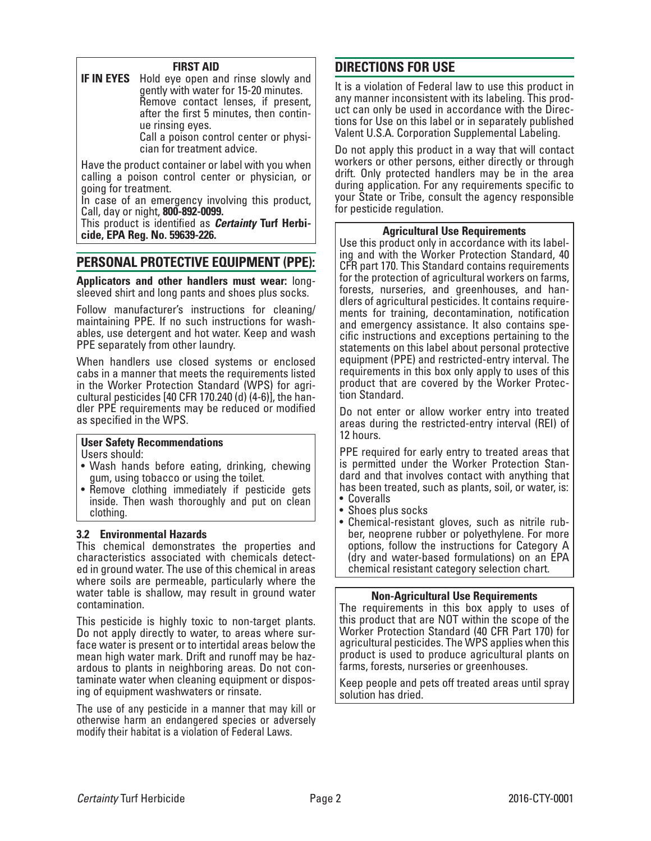## **FIRST AID**

**IF IN EYES** Hold eye open and rinse slowly and gently with water for 15-20 minutes. Remove contact lenses, if present, after the first 5 minutes, then contin- ue rinsing eyes.

Call a poison control center or physi- cian for treatment advice.

Have the product container or label with you when calling a poison control center or physician, or going for treatment.

In case of an emergency involving this product, Call, day or night, **800-892-0099.**

This product is identified as *Certainty* **Turf Herbicide, EPA Reg. No. 59639-226.**

# **PERSONAL PROTECTIVE EQUIPMENT (PPE):**

**Applicators and other handlers must wear:** longsleeved shirt and long pants and shoes plus socks.

Follow manufacturer's instructions for cleaning/ maintaining PPE. If no such instructions for washables, use detergent and hot water. Keep and wash PPE separately from other laundry.

When handlers use closed systems or enclosed cabs in a manner that meets the requirements listed in the Worker Protection Standard (WPS) for agricultural pesticides [40 CFR 170.240 (d) (4-6)], the handler PPE requirements may be reduced or modified as specified in the WPS.

# **User Safety Recommendations**

Users should:

- Wash hands before eating, drinking, chewing gum, using tobacco or using the toilet.
- Remove clothing immediately if pesticide gets inside. Then wash thoroughly and put on clean clothing.

### **3.2 Environmental Hazards**

This chemical demonstrates the properties and characteristics associated with chemicals detected in ground water. The use of this chemical in areas where soils are permeable, particularly where the water table is shallow, may result in ground water contamination.

This pesticide is highly toxic to non-target plants. Do not apply directly to water, to areas where surface water is present or to intertidal areas below the mean high water mark. Drift and runoff may be haz-<br>ardous to plants in neighboring areas. Do not con-<br>taminate water when cleaning equipment or dispos-<br>ing of equipment washwaters or rinsate.

The use of any pesticide in a manner that may kill or otherwise harm an endangered species or adversely modify their habitat is a violation of Federal Laws.

# **DIRECTIONS FOR USE**

It is a violation of Federal law to use this product in any manner inconsistent with its labeling. This product can only be used in accordance with the Directions for Use on this label or in separately published Valent U.S.A. Corporation Supplemental Labeling.

Do not apply this product in a way that will contact workers or other persons, either directly or through drift. Only protected handlers may be in the area during application. For any requirements specific to your State or Tribe, consult the agency responsible for pesticide regulation.

## **Agricultural Use Requirements**

Use this product only in accordance with its labeling and with the Worker Protection Standard, 40 CFR part 170. This Standard contains requirements for the protection of agricultural workers on farms, forests, nurseries, and greenhouses, and han- dlers of agricultural pesticides. It contains requirements for training, decontamination, notification and emergency assistance. It also contains specific instructions and exceptions pertaining to the statements on this label about personal protective equipment (PPE) and restricted-entry interval. The requirements in this box only apply to uses of this product that are covered by the Worker Protection Standard.

Do not enter or allow worker entry into treated areas during the restricted-entry interval (REI) of 12 hours.

PPE required for early entry to treated areas that is permitted under the Worker Protection Stan- dard and that involves contact with anything that has been treated, such as plants, soil, or water, is:

- Coveralls
- Shoes plus socks
- Chemical-resistant gloves, such as nitrile rub- ber, neoprene rubber or polyethylene. For more options, follow the instructions for Category A (dry and water-based formulations) on an EPA chemical resistant category selection chart.

### **Non-Agricultural Use Requirements**

The requirements in this box apply to uses of this product that are NOT within the scope of the Worker Protection Standard (40 CFR Part 170) for agricultural pesticides. The WPS applies when this product is used to produce agricultural plants on farms, forests, nurseries or greenhouses.

Keep people and pets off treated areas until spray solution has dried.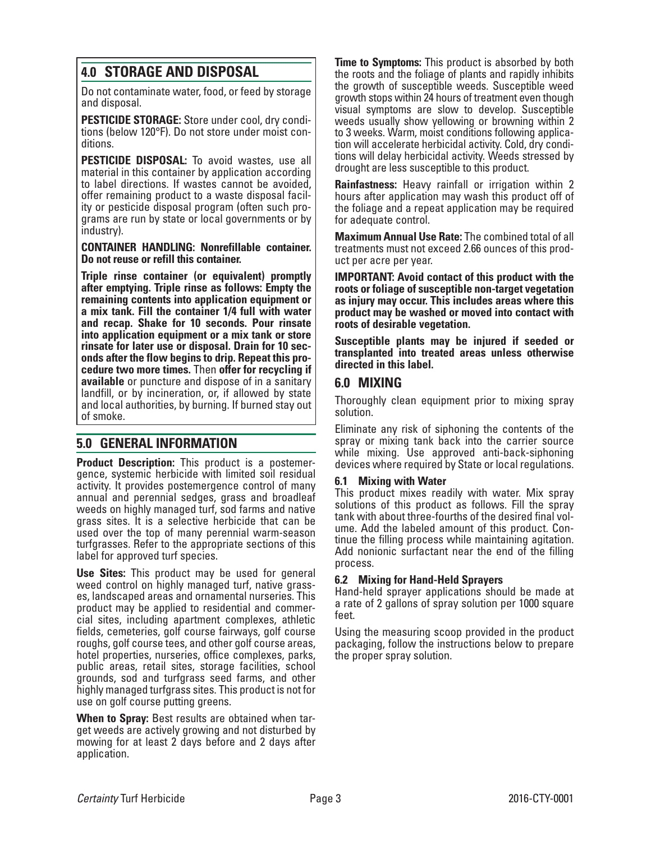# **4.0 STORAGE AND DISPOSAL**

Do not contaminate water, food, or feed by storage and disposal.

**PESTICIDE STORAGE:** Store under cool, dry conditions (below 120°F). Do not store under moist conditions.

**PESTICIDE DISPOSAL:** To avoid wastes, use all material in this container by application according to label directions. If wastes cannot be avoided, offer remaining product to a waste disposal facility or pesticide disposal program (often such programs are run by state or local governments or by industry).

**CONTAINER HANDLING: Nonrefillable container. Do not reuse or refill this container.**

**Triple rinse container (or equivalent) promptly after emptying. Triple rinse as follows: Empty the remaining contents into application equipment or a mix tank. Fill the container 1/4 full with water and recap. Shake for 10 seconds. Pour rinsate into application equipment or a mix tank or store rinsate for later use or disposal. Drain for 10 seconds after the flow begins to drip. Repeat this procedure two more times.** Then **offer for recycling if available** or puncture and dispose of in a sanitary landfill, or by incineration, or, if allowed by state and local authorities, by burning. If burned stay out of smoke.

# **5.0 GENERAL INFORMATION**

**Product Description:** This product is a postemergence, systemic herbicide with limited soil residual activity. It provides postemergence control of many annual and perennial sedges, grass and broadleaf weeds on highly managed turf, sod farms and native grass sites. It is a selective herbicide that can be used over the top of many perennial warm-season turfgrasses. Refer to the appropriate sections of this label for approved turf species.

**Use Sites:** This product may be used for general weed control on highly managed turf, native grasses, landscaped areas and ornamental nurseries. This product may be applied to residential and commercial sites, including apartment complexes, athletic fields, cemeteries, golf course fairways, golf course roughs, golf course tees, and other golf course areas, hotel properties, nurseries, office complexes, parks, public areas, retail sites, storage facilities, school grounds, sod and turfgrass seed farms, and other highly managed turfgrass sites. This product is not for use on golf course putting greens.

**When to Spray:** Best results are obtained when target weeds are actively growing and not disturbed by mowing for at least 2 days before and 2 days after application.

**Time to Symptoms:** This product is absorbed by both the roots and the foliage of plants and rapidly inhibits the growth of susceptible weeds. Susceptible weed growth stops within 24 hours of treatment even though visual symptoms are slow to develop. Susceptible weeds usually show yellowing or browning within 2 to 3 weeks. Warm, moist conditions following application will accelerate herbicidal activity. Cold, dry conditions will delay herbicidal activity. Weeds stressed by drought are less susceptible to this product.

**Rainfastness:** Heavy rainfall or irrigation within 2 hours after application may wash this product off of the foliage and a repeat application may be required for adequate control.

**Maximum Annual Use Rate:** The combined total of all treatments must not exceed 2.66 ounces of this prod uct per acre per year.

**IMPORTANT: Avoid contact of this product with the roots or foliage of susceptible non-target vegetation as injury may occur. This includes areas where this product may be washed or moved into contact with roots of desirable vegetation.**

**Susceptible plants may be injured if seeded or transplanted into treated areas unless otherwise directed in this label.**

# **6.0 MIXING**

Thoroughly clean equipment prior to mixing spray solution.

Eliminate any risk of siphoning the contents of the spray or mixing tank back into the carrier source while mixing. Use approved anti-back-siphoning devices where required by State or local regulations.

## **6.1 Mixing with Water**

This product mixes readily with water. Mix spray solutions of this product as follows. Fill the spray tank with about three-fourths of the desired final volume. Add the labeled amount of this product. Continue the filling process while maintaining agitation. Add nonionic surfactant near the end of the filling process.

## **6.2 Mixing for Hand-Held Sprayers**

Hand-held sprayer applications should be made at a rate of 2 gallons of spray solution per 1000 square feet.

Using the measuring scoop provided in the product packaging, follow the instructions below to prepare the proper spray solution.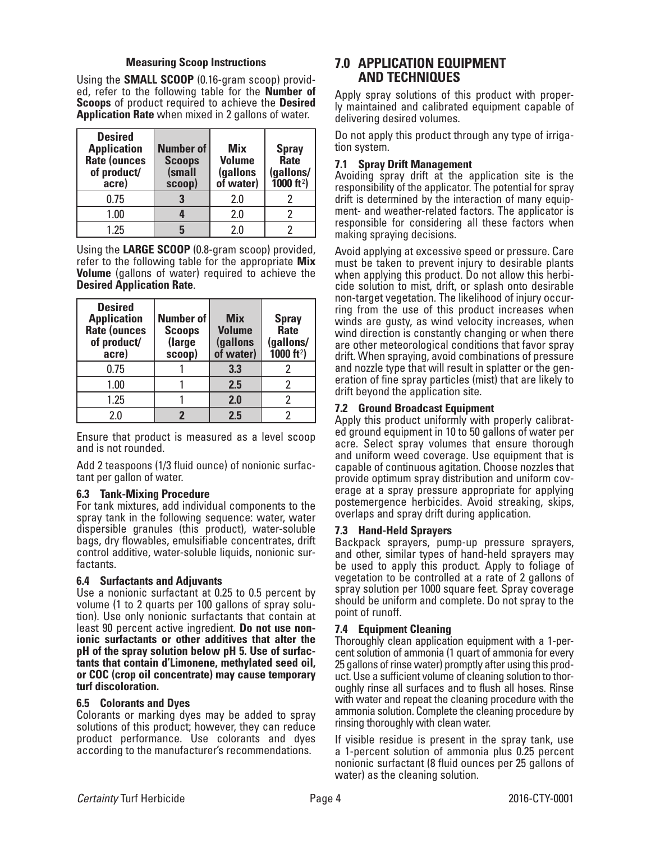## **Measuring Scoop Instructions**

Using the **SMALL SCOOP** (0.16-gram scoop) provid- ed, refer to the following table for the **Number of Scoops** of product required to achieve the **Desired Application Rate** when mixed in 2 gallons of water.

| <b>Desired</b><br><b>Application</b><br>Rate (ounces<br>of product/<br>acre) | <b>Number of</b><br><b>Scoops</b><br>(small<br>scoop) | <b>Mix</b><br><b>Volume</b><br>(gallons<br>of water) | <b>Spray</b><br>Rate<br>(gallons/<br>$1000 \text{ ft}^2$ |
|------------------------------------------------------------------------------|-------------------------------------------------------|------------------------------------------------------|----------------------------------------------------------|
| 0.75                                                                         |                                                       | 2.0                                                  |                                                          |
| 1.00                                                                         |                                                       | 2.0                                                  |                                                          |
| 1.25                                                                         |                                                       | 2 በ                                                  |                                                          |

Using the **LARGE SCOOP** (0.8-gram scoop) provided, refer to the following table for the appropriate **Mix Volume** (gallons of water) required to achieve the **Desired Application Rate**.

| <b>Desired</b><br><b>Application</b><br>Rate (ounces<br>of product/<br>acre) | <b>Number of</b><br><b>Scoops</b><br>(large<br>scoop) | <b>Mix</b><br><b>Volume</b><br>(gallons<br>of water) | <b>Spray</b><br>Rate<br>(gallons/<br>$1000 \text{ ft}^2$ |
|------------------------------------------------------------------------------|-------------------------------------------------------|------------------------------------------------------|----------------------------------------------------------|
| 0.75                                                                         |                                                       | 3.3                                                  |                                                          |
| 1.00                                                                         |                                                       | 2.5                                                  | 2                                                        |
| 1.25                                                                         |                                                       | 2.0                                                  | 2                                                        |
| 20                                                                           |                                                       | 2.5                                                  |                                                          |

Ensure that product is measured as a level scoop and is not rounded.

Add 2 teaspoons (1/3 fluid ounce) of nonionic surfactant per gallon of water.

## **6.3 Tank-Mixing Procedure**

For tank mixtures, add individual components to the spray tank in the following sequence: water, water dispersible granules (this product), water-soluble bags, dry flowables, emulsifiable concentrates, drift control additive, water-soluble liquids, nonionic sur- factants.

### **6.4 Surfactants and Adjuvants**

Use a nonionic surfactant at 0.25 to 0.5 percent by volume (1 to 2 quarts per 100 gallons of spray solu- tion). Use only nonionic surfactants that contain at least 90 percent active ingredient. **Do not use non- ionic surfactants or other additives that alter the pH of the spray solution below pH 5. Use of surfactants that contain d'Limonene, methylated seed oil, or COC (crop oil concentrate) may cause temporary turf discoloration.**

### **6.5 Colorants and Dyes**

Colorants or marking dyes may be added to spray solutions of this product; however, they can reduce product performance. Use colorants and dyes according to the manufacturer's recommendations.

# **7.0 APPLICATION EQUIPMENT AND TECHNIQUES**

Apply spray solutions of this product with proper- ly maintained and calibrated equipment capable of delivering desired volumes.

Do not apply this product through any type of irrigation system.

## **7.1 Spray Drift Management**

Avoiding spray drift at the application site is the responsibility of the applicator. The potential for spray drift is determined by the interaction of many equipment- and weather-related factors. The applicator is responsible for considering all these factors when making spraying decisions.

Avoid applying at excessive speed or pressure. Care must be taken to prevent injury to desirable plants when applying this product. Do not allow this herbicide solution to mist, drift, or splash onto desirable ring from the use of this product increases when winds are gusty, as wind velocity increases, when wind direction is constantly changing or when there are other meteorological conditions that favor spray drift. When spraying, avoid combinations of pressure and nozzle type that will result in splatter or the gen- eration of fine spray particles (mist) that are likely to drift beyond the application site.

## **7.2 Ground Broadcast Equipment**

Apply this product uniformly with properly calibrated ground equipment in 10 to 50 gallons of water per acre. Select spray volumes that ensure thorough and uniform weed coverage. Use equipment that is capable of continuous agitation. Choose nozzles that provide optimum spray distribution and uniform coverage at a spray pressure appropriate for applying postemergence herbicides. Avoid streaking, skips, overlaps and spray drift during application.

## **7.3 Hand-Held Sprayers**

Backpack sprayers, pump-up pressure sprayers, and other, similar types of hand-held sprayers may be used to apply this product. Apply to foliage of vegetation to be controlled at a rate of 2 gallons of spray solution per 1000 square feet. Spray coverage should be uniform and complete. Do not spray to the point of runoff.

### **7.4 Equipment Cleaning**

Thoroughly clean application equipment with a 1-percent solution of ammonia (1 quart of ammonia for every<br>25 gallons of rinse water) promptly after using this product. Use a sufficient volume of cleaning solution to thor-<br>oughly rinse all surfaces and to flush all hoses. Rinse with water and repeat the cleaning procedure with the ammonia solution. Complete the cleaning procedure by rinsing thoroughly with clean water.

If visible residue is present in the spray tank, use a 1-percent solution of ammonia plus 0.25 percent nonionic surfactant (8 fluid ounces per 25 gallons of water) as the cleaning solution.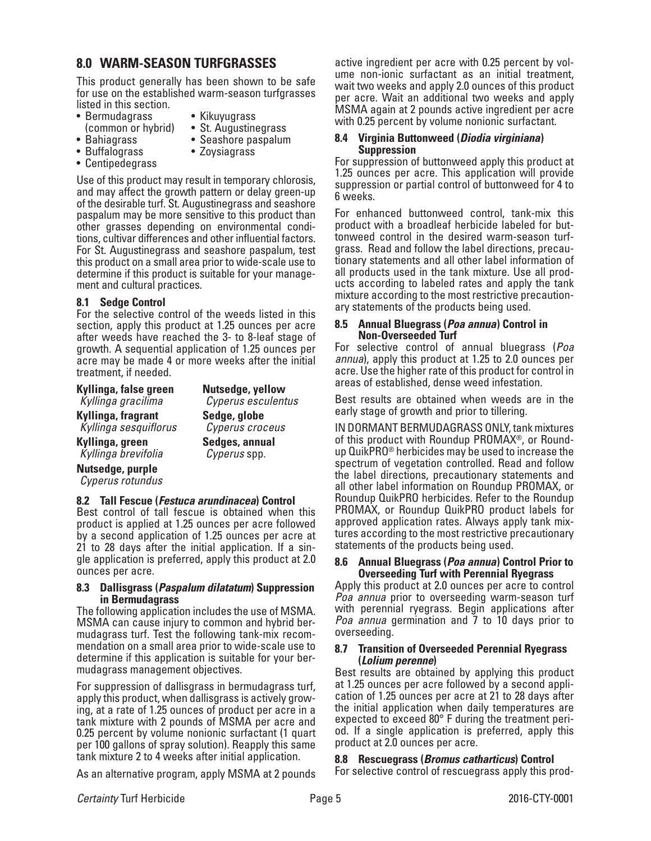# **8.0 WARM-SEASON TURFGRASSES**

This product generally has been shown to be safe for use on the established warm-season turfgrasses listed in this section.

- 
- Bermudagrass Kikuyugrass
- 
- 
- 
- 
- 
- 
- (common or hybrid) St. Augustinegrass<br>• Bahiagrass Seashore paspalum<br>• Buffalograss Zoysiagrass<br>• Centipedegrass

Use of this product may result in temporary chlorosis, and may affect the growth pattern or delay green-up of the desirable turf. St. Augustinegrass and seashore paspalum may be more sensitive to this product than other grasses depending on environmental conditions, cultivar differences and other influential factors. For St. Augustinegrass and seashore paspalum, test this product on a small area prior to wide-scale use to determine if this product is suitable for your management and cultural practices.

# **8.1 Sedge Control**

For the selective control of the weeds listed in this section, apply this product at 1.25 ounces per acre after weeds have reached the 3- to 8-leaf stage of growth. A sequential application of 1.25 ounces per acre may be made 4 or more weeks after the initial treatment, if needed.

| Kyllinga, false green | Nutsedge, yellow   |
|-----------------------|--------------------|
| Kyllinga gracilima    | Cyperus esculentus |
| Kyllinga, fragrant    | Sedge, globe       |
| Kyllinga sesquiflorus | Cyperus croceus    |
| Kyllinga, green       | Sedges, annual     |
| Kyllinga brevifolia   | Cyperus spp.       |
| .                     |                    |

**Nutsedge, purple** *Cyperus rotundus*

## **8.2 Tall Fescue (***Festuca arundinacea***) Control**

Best control of tall fescue is obtained when this product is applied at 1.25 ounces per acre followed by a second application of 1.25 ounces per acre at 21 to 28 days after the initial application. If a single application is preferred, apply this product at 2.0 ounces per acre.

### **8.3 Dallisgrass (***Paspalum dilatatum***) Suppression in Bermudagrass**

The following application includes the use of MSMA. MSMA can cause injury to common and hybrid bermudagrass turf. Test the following tank-mix recommendation on a small area prior to wide-scale use to determine if this application is suitable for your bermudagrass management objectives.

For suppression of dallisgrass in bermudagrass turf, apply this product, when dallisgrass is actively growing, at a rate of 1.25 ounces of product per acre in a tank mixture with 2 pounds of MSMA per acre and 0.25 percent by volume nonionic surfactant (1 quart per 100 gallons of spray solution). Reapply this same tank mixture 2 to 4 weeks after initial application.

As an alternative program, apply MSMA at 2 pounds

active ingredient per acre with 0.25 percent by volume non-ionic surfactant as an initial treatment, wait two weeks and apply 2.0 ounces of this product per acre. Wait an additional two weeks and apply MSMA again at 2 pounds active ingredient per acre with 0.25 percent by volume nonionic surfactant.

#### **8.4 Virginia Buttonweed (***Diodia virginiana***) Suppression**

For suppression of buttonweed apply this product at 1.25 ounces per acre. This application will provide suppression or partial control of buttonweed for 4 to 6 weeks.

For enhanced buttonweed control, tank-mix this product with a broadleaf herbicide labeled for buttonweed control in the desired warm-season turfgrass. Read and follow the label directions, precautionary statements and all other label information of all products used in the tank mixture. Use all products according to labeled rates and apply the tank mixture according to the most restrictive precaution- ary statements of the products being used.

## **8.5 Annual Bluegrass (***Poa annua***) Control in Non-Overseeded Turf**

For selective control of annual bluegrass (*Poa annua*), apply this product at 1.25 to 2.0 ounces per acre. Use the higher rate of this product for control in areas of established, dense weed infestation.

Best results are obtained when weeds are in the early stage of growth and prior to tillering.

IN DORMANT BERMUDAGRASS ONLY, tank mixtures of this product with Roundup PROMAX®, or Roundup QuikPRO® herbicides may be used to increase the spectrum of vegetation controlled. Read and follow the label directions, precautionary statements and all other label information on Roundup PROMAX, or Roundup QuikPRO herbicides. Refer to the Roundup PROMAX, or Roundup QuikPRO product labels for approved application rates. Always apply tank mixtures according to the most restrictive precautionary statements of the products being used.

#### **8.6 Annual Bluegrass (***Poa annua***) Control Prior to Overseeding Turf with Perennial Ryegrass**

Apply this product at 2.0 ounces per acre to control *Poa annua* prior to overseeding warm-season turf with perennial ryegrass. Begin applications after *Poa annua* germination and 7 to 10 days prior to overseeding.

### **8.7 Transition of Overseeded Perennial Ryegrass (***Lolium perenne***)**

Best results are obtained by applying this product at 1.25 ounces per acre followed by a second application of 1.25 ounces per acre at 21 to 28 days after the initial application when daily temperatures are expected to exceed 80° F during the treatment period. If a single application is preferred, apply this product at 2.0 ounces per acre.

# **8.8 Rescuegrass (***Bromus catharticus***) Control**

For selective control of rescuegrass apply this prod-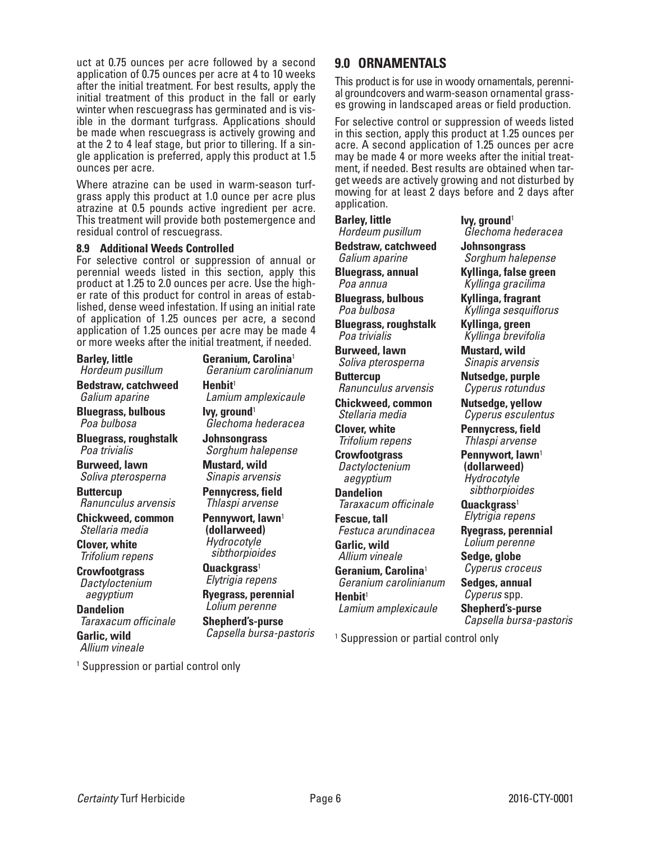uct at 0.75 ounces per acre followed by a second application of 0.75 ounces per acre at 4 to 10 weeks after the initial treatment. For best results, apply the initial treatment of this product in the fall or early winter when rescuegrass has germinated and is vis- ible in the dormant turfgrass. Applications should be made when rescuegrass is actively growing and at the 2 to 4 leaf stage, but prior to tillering. If a sin- gle application is preferred, apply this product at 1.5 ounces per acre.

Where atrazine can be used in warm-season turf-<br>grass apply this product at 1.0 ounce per acre plus atrazine at 0.5 pounds active ingredient per acre. This treatment will provide both postemergence and residual control of rescuegrass.

## **8.9 Additional Weeds Controlled**

For selective control or suppression of annual or perennial weeds listed in this section, apply this product at 1.25 to 2.0 ounces per acre. Use the higher rate of this product for control in areas of estab-<br>lished, dense weed infestation. If using an initial rate of application of 1.25 ounces per acre, a second application of 1.25 ounces per acre may be made 4 or more weeks after the initial treatment, if needed.

| <b>Barley, little</b>                                  | Geranium, Carolina <sup>1</sup>                    |
|--------------------------------------------------------|----------------------------------------------------|
| Hordeum pusillum                                       | Geranium carolinianum                              |
| <b>Bedstraw, catchweed</b>                             | Henbit <sup>1</sup>                                |
| Galium aparine                                         | Lamium amplexicaule                                |
| <b>Bluegrass, bulbous</b>                              | lvy, ground <sup>1</sup>                           |
| Poa bulbosa                                            | Glechoma hederacea                                 |
| <b>Bluegrass, roughstalk</b>                           | Johnsongrass                                       |
| Poa trivialis                                          | Sorghum halepense                                  |
| <b>Burweed, lawn</b>                                   | <b>Mustard, wild</b>                               |
| Soliva pterosperna                                     | Sinapis arvensis                                   |
| <b>Buttercup</b>                                       | Pennycress, field                                  |
| Ranunculus arvensis                                    | Thlaspi arvense                                    |
| <b>Chickweed, common</b>                               | Pennywort, lawn <sup>1</sup>                       |
| Stellaria media                                        | (dollarweed)                                       |
| <b>Clover, white</b>                                   | Hydrocotyle                                        |
| Trifolium repens                                       | sibthorpioides                                     |
| <b>Crowfootgrass</b>                                   | Quackgrass <sup>1</sup>                            |
| Dactyloctenium                                         | Elytrigia repens                                   |
| aegyptium                                              | <b>Ryegrass, perennial</b>                         |
| <b>Dandelion</b>                                       | Lolium perenne                                     |
| Taraxacum officinale<br>Garlic, wild<br>Allium vineale | <b>Shepherd's-purse</b><br>Capsella bursa-pastoris |
| <sup>1</sup> Suppression or partial control only       |                                                    |

# **9.0 ORNAMENTALS**

This product is for use in woody ornamentals, perenni- al groundcovers and warm-season ornamental grass- es growing in landscaped areas or field production.

For selective control or suppression of weeds listed in this section, apply this product at 1.25 ounces per acre. A second application of 1.25 ounces per acre may be made 4 or more weeks after the initial treatment, if needed. Best results are obtained when target weeds are actively growing and not disturbed by mowing for at least 2 days before and 2 days after application.

## **Barley, little**

*Hordeum pusillum*

**Bedstraw, catchweed** *Galium aparine*

**Bluegrass, annual** *Poa annua*

**Bluegrass, bulbous** *Poa bulbosa*

**Bluegrass, roughstalk** *Poa trivialis*

**Burweed, lawn** *Soliva pterosperna*

**Buttercup** *Ranunculus arvensis*

**Chickweed, common** *Stellaria media*

**Clover, white** *Trifolium repens*

**Crowfootgrass** *Dactyloctenium aegyptium*

**Dandelion** *Taraxacum officinale*

**Fescue, tall** *Festuca arundinacea*

**Garlic, wild** *Allium vineale* **Geranium, Carolina**<sup>1</sup> *Geranium carolinianum* **Henbit**<sup>1</sup>

*Lamium amplexicaule*

**Ivy, ground**<sup>1</sup> *Glechoma hederacea* **Johnsongrass**

*Sorghum halepense* **Kyllinga, false green**

*Kyllinga gracilima* **Kyllinga, fragrant**

*Kyllinga sesquiflorus*

**Kyllinga, green** *Kyllinga brevifolia*

**Mustard, wild** *Sinapis arvensis*

**Nutsedge, purple** *Cyperus rotundus*

**Nutsedge, yellow** *Cyperus esculentus*

**Pennycress, field** *Thlaspi arvense*

**Pennywort, lawn**<sup>1</sup> **(dollarweed)** *Hydrocotyle sibthorpioides*

**Quackgrass**<sup>1</sup> *Elytrigia repens*

**Ryegrass, perennial** *Lolium perenne*

**Sedge, globe** *Cyperus croceus*

**Sedges, annual** *Cyperus* spp.

**Shepherd's-purse** *Capsella bursa-pastoris*

1 Suppression or partial control only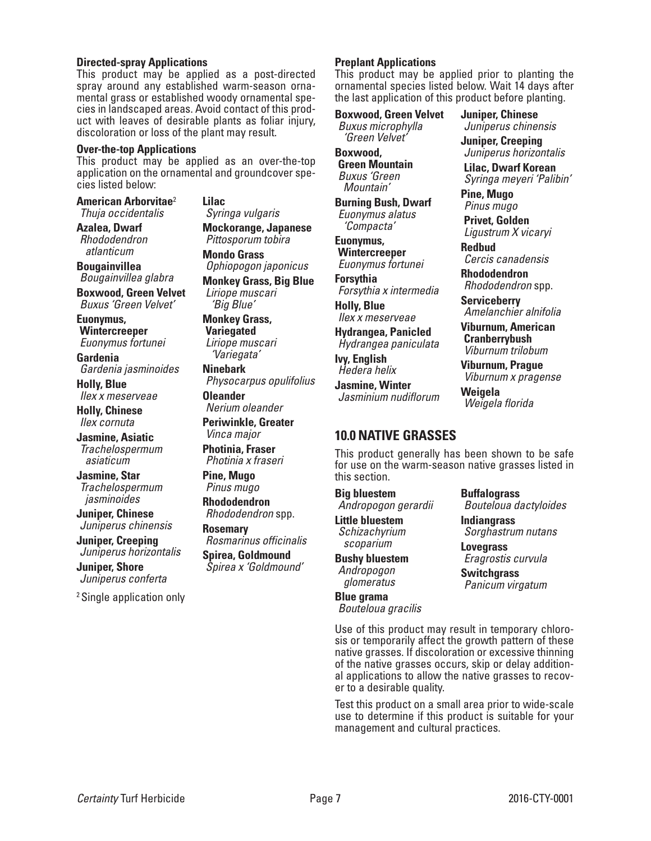### **Directed-spray Applications**

This product may be applied as a post-directed spray around any established warm-season ornacies in landscaped areas. Avoid contact of this prod-<br>uct with leaves of desirable plants as foliar injury, discoloration or loss of the plant may result.

#### **Over-the-top Applications**

This product may be applied as an over-the-top application on the ornamental and groundcover species listed below:

**American Arborvitae**<sup>2</sup> *Thuja occidentalis*

**Azalea, Dwarf** *Rhododendron atlanticum*

**Bougainvillea** *Bougainvillea glabra*

**Boxwood, Green Velvet** *Buxus 'Green Velvet'*

**Euonymus, Wintercreeper** *Euonymus fortunei*

**Gardenia** *Gardenia jasminoides*

**Holly, Blue** *Ilex x meserveae*

**Holly, Chinese** *Ilex cornuta*

**Jasmine, Asiatic** *Trachelospermum asiaticum*

**Jasmine, Star** *Trachelospermum jasminoides*

**Juniper, Chinese** *Juniperus chinensis*

**Juniper, Creeping** *Juniperus horizontalis*

**Juniper, Shore** *Juniperus conferta*

2 Single application only

**Lilac** *Syringa vulgaris*

**Mockorange, Japanese** *Pittosporum tobira*

**Mondo Grass** *Ophiopogon japonicus*

**Monkey Grass, Big Blue** *Liriope muscari 'Big Blue'*

**Monkey Grass, Variegated** *Liriope muscari 'Variegata'*

**Ninebark** *Physocarpus opulifolius*

**Oleander** *Nerium oleander*

**Periwinkle, Greater** *Vinca major*

**Photinia, Fraser** *Photinia x fraseri* 

**Pine, Mugo** *Pinus mugo*

**Rhododendron** *Rhododendron* spp.

**Rosemary** *Rosmarinus officinalis* **Spirea, Goldmound** *Spirea x 'Goldmound'*

#### **Preplant Applications**

This product may be applied prior to planting the ornamental species listed below. Wait 14 days after the last application of this product before planting.

> **Juniper, Chinese** *Juniperus chinensis* **Juniper, Creeping** *Juniperus horizontalis*  **Lilac, Dwarf Korean** *Syringa meyeri 'Palibin'*

**Pine, Mugo** *Pinus mugo* **Privet, Golden** *Ligustrum X vicaryi*

**Redbud**

**Serviceberry**

**Weigela**

*Weigela florida*

*Cercis canadensis* **Rhododendron** *Rhododendron* spp.

*Amelanchier alnifolia* **Viburnum, American Cranberrybush** *Viburnum trilobum* **Viburnum, Prague** *Viburnum x pragense*

**Boxwood, Green Velvet** *Buxus microphylla 'Green Velvet'* **Boxwood,** 

**Green Mountain** *Buxus 'Green Mountain'*

**Burning Bush, Dwarf** *Euonymus alatus 'Compacta'*

**Euonymus, Wintercreeper** *Euonymus fortunei*

**Forsythia** *Forsythia x intermedia*

**Holly, Blue** *Ilex x meserveae*

**Hydrangea, Panicled** *Hydrangea paniculata*

**Ivy, English** *Hedera helix*

**Jasmine, Winter** *Jasminium nudiflorum*

# **10.0 NATIVE GRASSES**

This product generally has been shown to be safe for use on the warm-season native grasses listed in this section.

### **Big bluestem**

*Andropogon gerardii* **Little bluestem**

*Schizachyrium scoparium*

**Bushy bluestem** *Andropogon glomeratus* **Blue grama**

*Bouteloua gracilis*

*Bouteloua dactyloides* **Indiangrass** *Sorghastrum nutans*

**Lovegrass** *Eragrostis curvula*

**Buffalograss**

**Switchgrass** *Panicum virgatum*

Use of this product may result in temporary chloro- sis or temporarily affect the growth pattern of these native grasses. If discoloration or excessive thinning of the native grasses occurs, skip or delay additional applications to allow the native grasses to recover to a desirable quality.

Test this product on a small area prior to wide-scale use to determine if this product is suitable for your management and cultural practices.

*Certainty* Turf Herbicide Page 7 2016-CTY-0001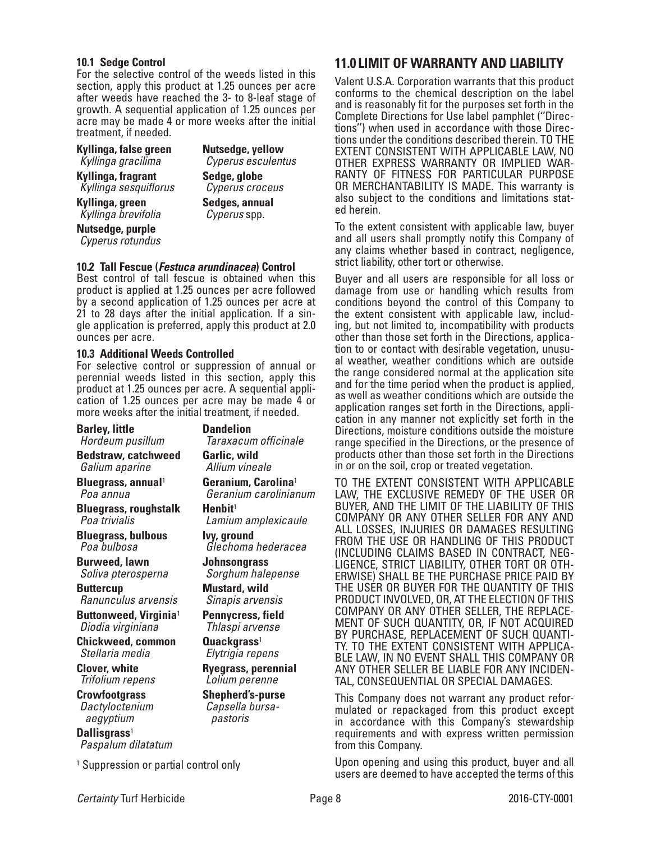### **10.1 Sedge Control**

For the selective control of the weeds listed in this section, apply this product at 1.25 ounces per acre after weeds have reached the 3- to 8-leaf stage of growth. A sequential application of 1.25 ounces per acre may be made 4 or more weeks after the initial treatment, if needed.

**Kyllinga, false green** *Kyllinga gracilima*

**Kyllinga, fragrant**

*Kyllinga sesquiflorus*

**Kyllinga, green** *Kyllinga brevifolia*

**Nutsedge, purple** *Cyperus rotundus* **Sedge, globe** *Cyperus croceus* **Sedges, annual** *Cyperus* spp.

**Nutsedge, yellow** *Cyperus esculentus*

### **10.2 Tall Fescue (***Festuca arundinacea***) Control**

Best control of tall fescue is obtained when this product is applied at 1.25 ounces per acre followed by a second application of 1.25 ounces per acre at 21 to 28 days after the initial application. If a single application is preferred, apply this product at 2.0 ounces per acre.

### **10.3 Additional Weeds Controlled**

For selective control or suppression of annual or perennial weeds listed in this section, apply this product at 1.25 ounces per acre. A sequential application of 1.25 ounces per acre may be made 4 or more weeks after the initial treatment, if needed.

**Barley, little** *Hordeum pusillum* **Bedstraw, catchweed** *Galium aparine* **Bluegrass, annual**<sup>1</sup> *Poa annua* **Bluegrass, roughstalk** *Poa trivialis* **Bluegrass, bulbous** *Poa bulbosa* **Burweed, lawn** *Soliva pterosperna* **Buttercup** *Ranunculus arvensis* **Buttonweed, Virginia**<sup>1</sup> *Diodia virginiana* **Chickweed, common** *Stellaria media* **Clover, white** *Trifolium repens* **Crowfootgrass** *Dactyloctenium aegyptium* **Dallisgrass**<sup>1</sup> *Paspalum dilatatum* **Dandelion** *Taraxacum officinale* **Garlic, wild** *Allium vineale* **Geranium, Carolina**<sup>1</sup> *Geranium carolinianum* **Henbit**<sup>1</sup> *Lamium amplexicaule* **Ivy, ground** *Glechoma hederacea* **Johnsongrass** *Sorghum halepense* **Mustard, wild** *Sinapis arvensis* **Pennycress, field** *Thlaspi arvense* **Quackgrass**<sup>1</sup> *Elytrigia repens* **Ryegrass, perennial** *Lolium perenne* **Shepherd's-purse** *Capsella bursapastoris*

1 Suppression or partial control only

# **11.0 LIMIT OF WARRANTY AND LIABILITY**

Valent U.S.A. Corporation warrants that this product conforms to the chemical description on the label and is reasonably fit for the purposes set forth in the Complete Directions for Use label pamphlet (''Direc- tions'') when used in accordance with those Direc- tions under the conditions described therein. TO THE EXTENT CONSISTENT WITH APPLICABLE LAW, NO RANTY OF FITNESS FOR PARTICULAR PURPOSE OR MERCHANTABILITY IS MADE. This warranty is also subject to the conditions and limitations stat- ed herein.

To the extent consistent with applicable law, buyer and all users shall promptly notify this Company of any claims whether based in contract, negligence, strict liability, other tort or otherwise.

Buyer and all users are responsible for all loss or damage from use or handling which results from conditions beyond the control of this Company to the extent consistent with applicable law, including, but not limited to, incompatibility with products other than those set forth in the Directions, application to or contact with desirable vegetation, unusual weather, weather conditions which are outside the range considered normal at the application site and for the time period when the product is applied, as well as weather conditions which are outside the application ranges set forth in the Directions, application in any manner not explicitly set forth in the Directions, moisture conditions outside the moisture range specified in the Directions, or the presence of products other than those set forth in the Directions in or on the soil, crop or treated vegetation.

TO THE EXTENT CONSISTENT WITH APPLICABLE LAW, THE EXCLUSIVE REMEDY OF THE USER OR BUYER, AND THE LIMIT OF THE LIABILITY OF THIS COMPANY OR ANY OTHER SELLER FOR ANY AND ALL LOSSES, INJURIES OR DAMAGES RESULTING FROM THE USE OR HANDLING OF THIS PRODUCT (INCLUDING CLAIMS BASED IN CONTRACT, NEG- LIGENCE, STRICT LIABILITY, OTHER TORT OR OTH-ERWISE) SHALL BE THE PURCHASE PRICE PAID BY THE USER OR BUYER FOR THE QUANTITY OF THIS PRODUCT INVOLVED, OR, AT THE ELECTION OF THIS COMPANY OR ANY OTHER SELLER, THE REPLACE-MENT OF SUCH QUANTITY, OR, IF NOT ACQUIRED BY PURCHASE, REPLACEMENT OF SUCH QUANTI-TY. TO THE EXTENT CONSISTENT WITH APPLICA- BLE LAW, IN NO EVENT SHALL THIS COMPANY OR ANY OTHER SELLER BE LIABLE FOR ANY INCIDEN- TAL, CONSEQUENTIAL OR SPECIAL DAMAGES.

This Company does not warrant any product refor- mulated or repackaged from this product except in accordance with this Company's stewardship requirements and with express written permission from this Company.

Upon opening and using this product, buyer and all users are deemed to have accepted the terms of this